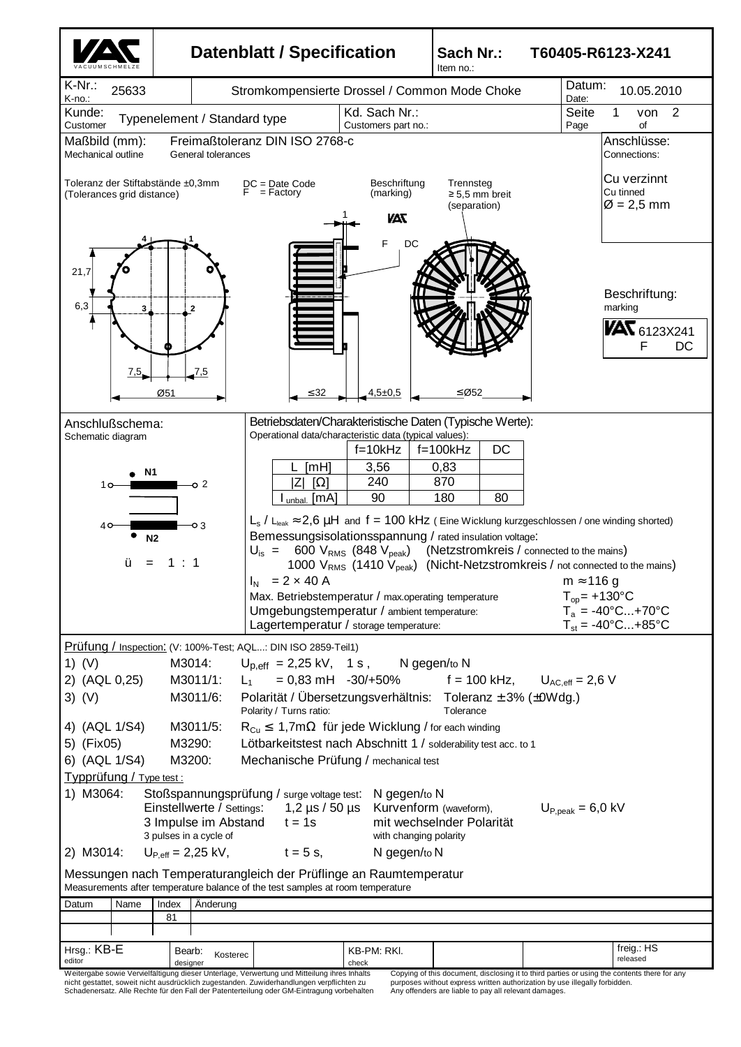